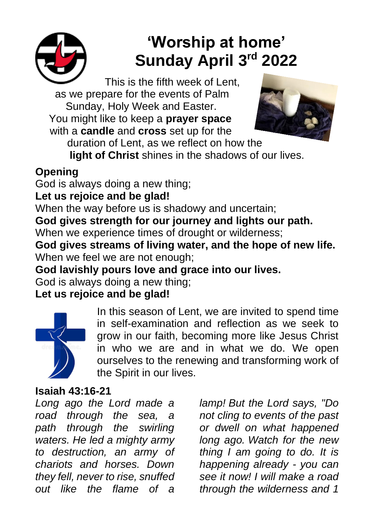

# **'Worship at home' Sunday April 3rd 2022**

This is the fifth week of Lent, as we prepare for the events of Palm Sunday, Holy Week and Easter. You might like to keep a **prayer space** with a **candle** and **cross** set up for the



duration of Lent, as we reflect on how the

**light of Christ** shines in the shadows of our lives.

# **Opening**

God is always doing a new thing;

## **Let us rejoice and be glad!**

When the way before us is shadowy and uncertain;

**God gives strength for our journey and lights our path.**

When we experience times of drought or wilderness;

**God gives streams of living water, and the hope of new life.** When we feel we are not enough;

**God lavishly pours love and grace into our lives.**

God is always doing a new thing;

# **Let us rejoice and be glad!**



In this season of Lent, we are invited to spend time in self-examination and reflection as we seek to grow in our faith, becoming more like Jesus Christ in who we are and in what we do. We open ourselves to the renewing and transforming work of the Spirit in our lives.

## **Isaiah 43:16-21**

*Long ago the Lord made a road through the sea, a path through the swirling waters. He led a mighty army to destruction, an army of chariots and horses. Down they fell, never to rise, snuffed out like the flame of a* 

*lamp! But the Lord says, "Do not cling to events of the past or dwell on what happened long ago. Watch for the new thing I am going to do. It is happening already - you can see it now! I will make a road through the wilderness and 1*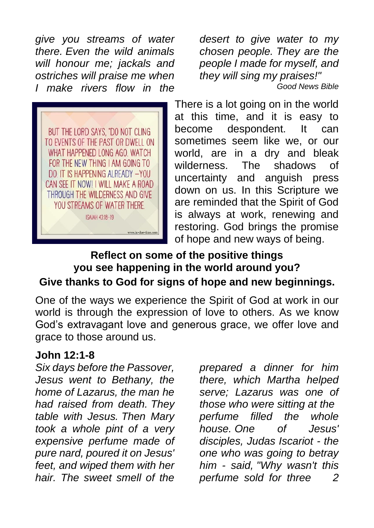*give you streams of water there. Even the wild animals will honour me; jackals and ostriches will praise me when I make rivers flow in the* 



*desert to give water to my chosen people. They are the people I made for myself, and they will sing my praises!" Good News Bible*

There is a lot going on in the world at this time, and it is easy to become despondent. It can sometimes seem like we, or our world, are in a dry and bleak wilderness. The shadows of uncertainty and anguish press down on us. In this Scripture we are reminded that the Spirit of God is always at work, renewing and restoring. God brings the promise of hope and new ways of being.

## **Reflect on some of the positive things you see happening in the world around you? Give thanks to God for signs of hope and new beginnings.**

One of the ways we experience the Spirit of God at work in our world is through the expression of love to others. As we know God's extravagant love and generous grace, we offer love and grace to those around us.

#### **John 12:1-8**

*Six days before the Passover, Jesus went to Bethany, the home of Lazarus, the man he had raised from death. They table with Jesus. Then Mary took a whole pint of a very expensive perfume made of pure nard, poured it on Jesus' feet, and wiped them with her hair. The sweet smell of the* 

*prepared a dinner for him there, which Martha helped serve; Lazarus was one of those who were sitting at the perfume filled the whole house. One of Jesus' disciples, Judas Iscariot - the one who was going to betray him - said, "Why wasn't this perfume sold for three 2*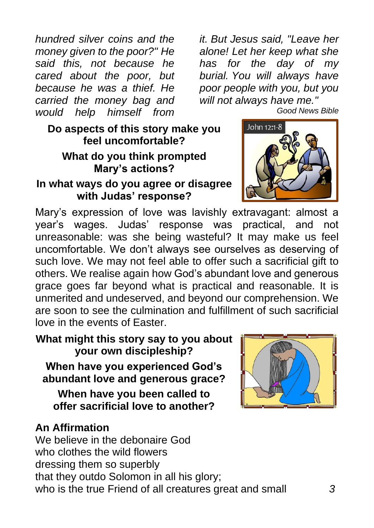*hundred silver coins and the money given to the poor?" He said this, not because he cared about the poor, but because he was a thief. He carried the money bag and would help himself from* 

**Do aspects of this story make you feel uncomfortable?**

#### **What do you think prompted Mary's actions?**

#### **In what ways do you agree or disagree with Judas' response?**

Mary's expression of love was lavishly extravagant: almost a year's wages. Judas' response was practical, and not unreasonable: was she being wasteful? It may make us feel uncomfortable. We don't always see ourselves as deserving of such love. We may not feel able to offer such a sacrificial gift to others. We realise again how God's abundant love and generous grace goes far beyond what is practical and reasonable. It is unmerited and undeserved, and beyond our comprehension. We are soon to see the culmination and fulfillment of such sacrificial love in the events of Easter.

**What might this story say to you about your own discipleship? When have you experienced God's abundant love and generous grace?**

**When have you been called to offer sacrificial love to another?**

## **An Affirmation**

We believe in the debonaire God who clothes the wild flowers dressing them so superbly that they outdo Solomon in all his glory; who is the true Friend of all creatures great and small *3*

*it. But Jesus said, "Leave her alone! Let her keep what she* 

*Good News Bible*